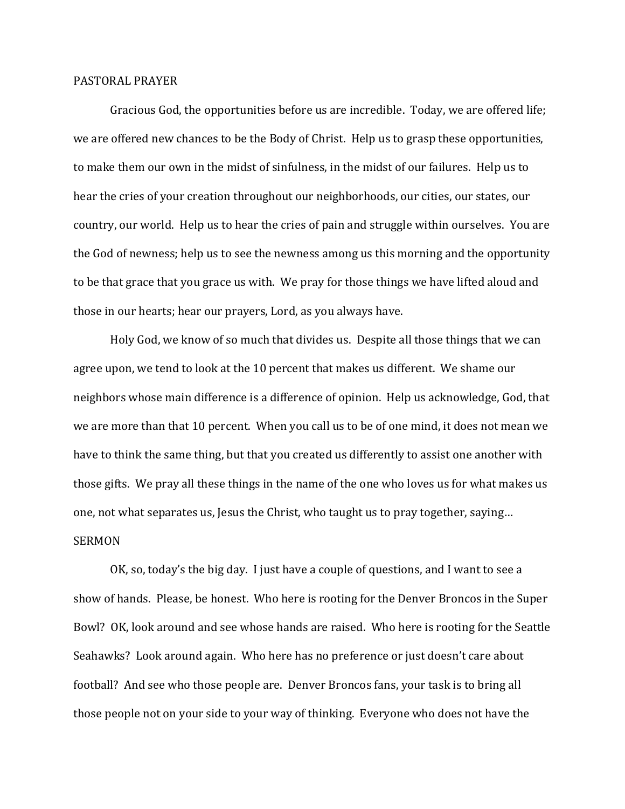## PASTORAL PRAYER

 Gracious God, the opportunities before us are incredible. Today, we are offered life; we are offered new chances to be the Body of Christ. Help us to grasp these opportunities, to make them our own in the midst of sinfulness, in the midst of our failures. Help us to hear the cries of your creation throughout our neighborhoods, our cities, our states, our country, our world. Help us to hear the cries of pain and struggle within ourselves. You are the God of newness; help us to see the newness among us this morning and the opportunity to be that grace that you grace us with. We pray for those things we have lifted aloud and those in our hearts; hear our prayers, Lord, as you always have.

 Holy God, we know of so much that divides us. Despite all those things that we can agree upon, we tend to look at the 10 percent that makes us different. We shame our neighbors whose main difference is a difference of opinion. Help us acknowledge, God, that we are more than that 10 percent. When you call us to be of one mind, it does not mean we have to think the same thing, but that you created us differently to assist one another with those gifts. We pray all these things in the name of the one who loves us for what makes us one, not what separates us, Jesus the Christ, who taught us to pray together, saying… SERMON

 OK, so, today's the big day. I just have a couple of questions, and I want to see a show of hands. Please, be honest. Who here is rooting for the Denver Broncos in the Super Bowl? OK, look around and see whose hands are raised. Who here is rooting for the Seattle Seahawks? Look around again. Who here has no preference or just doesn't care about football? And see who those people are. Denver Broncos fans, your task is to bring all those people not on your side to your way of thinking. Everyone who does not have the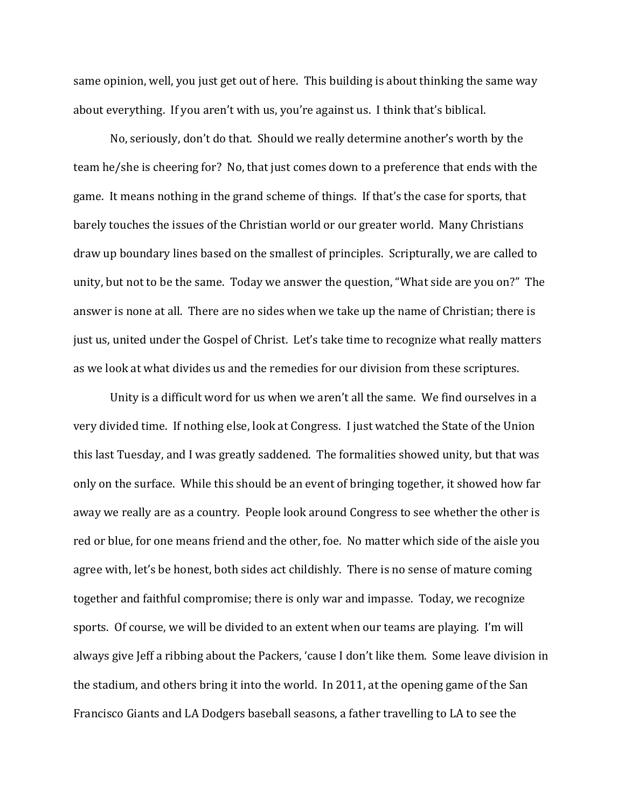same opinion, well, you just get out of here. This building is about thinking the same way about everything. If you aren't with us, you're against us. I think that's biblical.

 No, seriously, don't do that. Should we really determine another's worth by the team he/she is cheering for? No, that just comes down to a preference that ends with the game. It means nothing in the grand scheme of things. If that's the case for sports, that barely touches the issues of the Christian world or our greater world. Many Christians draw up boundary lines based on the smallest of principles. Scripturally, we are called to unity, but not to be the same. Today we answer the question, "What side are you on?" The answer is none at all. There are no sides when we take up the name of Christian; there is just us, united under the Gospel of Christ. Let's take time to recognize what really matters as we look at what divides us and the remedies for our division from these scriptures.

 Unity is a difficult word for us when we aren't all the same. We find ourselves in a very divided time. If nothing else, look at Congress. I just watched the State of the Union this last Tuesday, and I was greatly saddened. The formalities showed unity, but that was only on the surface. While this should be an event of bringing together, it showed how far away we really are as a country. People look around Congress to see whether the other is red or blue, for one means friend and the other, foe. No matter which side of the aisle you agree with, let's be honest, both sides act childishly. There is no sense of mature coming together and faithful compromise; there is only war and impasse. Today, we recognize sports. Of course, we will be divided to an extent when our teams are playing. I'm will always give Jeff a ribbing about the Packers, 'cause I don't like them. Some leave division in the stadium, and others bring it into the world. In 2011, at the opening game of the San Francisco Giants and LA Dodgers baseball seasons, a father travelling to LA to see the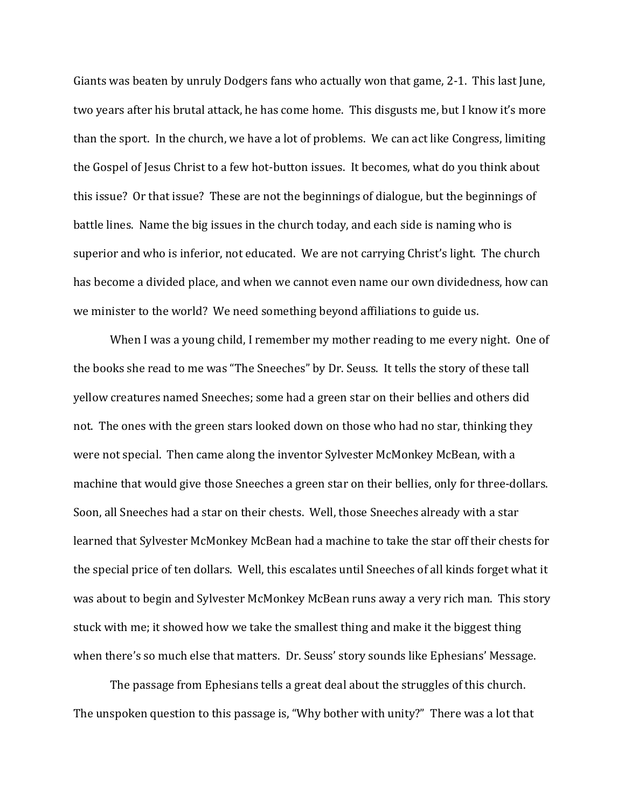Giants was beaten by unruly Dodgers fans who actually won that game, 2-1. This last June, two years after his brutal attack, he has come home. This disgusts me, but I know it's more than the sport. In the church, we have a lot of problems. We can act like Congress, limiting the Gospel of Jesus Christ to a few hot-button issues. It becomes, what do you think about this issue? Or that issue? These are not the beginnings of dialogue, but the beginnings of battle lines. Name the big issues in the church today, and each side is naming who is superior and who is inferior, not educated. We are not carrying Christ's light. The church has become a divided place, and when we cannot even name our own dividedness, how can we minister to the world? We need something beyond affiliations to guide us.

 When I was a young child, I remember my mother reading to me every night. One of the books she read to me was "The Sneeches" by Dr. Seuss. It tells the story of these tall yellow creatures named Sneeches; some had a green star on their bellies and others did not. The ones with the green stars looked down on those who had no star, thinking they were not special. Then came along the inventor Sylvester McMonkey McBean, with a machine that would give those Sneeches a green star on their bellies, only for three-dollars. Soon, all Sneeches had a star on their chests. Well, those Sneeches already with a star learned that Sylvester McMonkey McBean had a machine to take the star off their chests for the special price of ten dollars. Well, this escalates until Sneeches of all kinds forget what it was about to begin and Sylvester McMonkey McBean runs away a very rich man. This story stuck with me; it showed how we take the smallest thing and make it the biggest thing when there's so much else that matters. Dr. Seuss' story sounds like Ephesians' Message.

 The passage from Ephesians tells a great deal about the struggles of this church. The unspoken question to this passage is, "Why bother with unity?" There was a lot that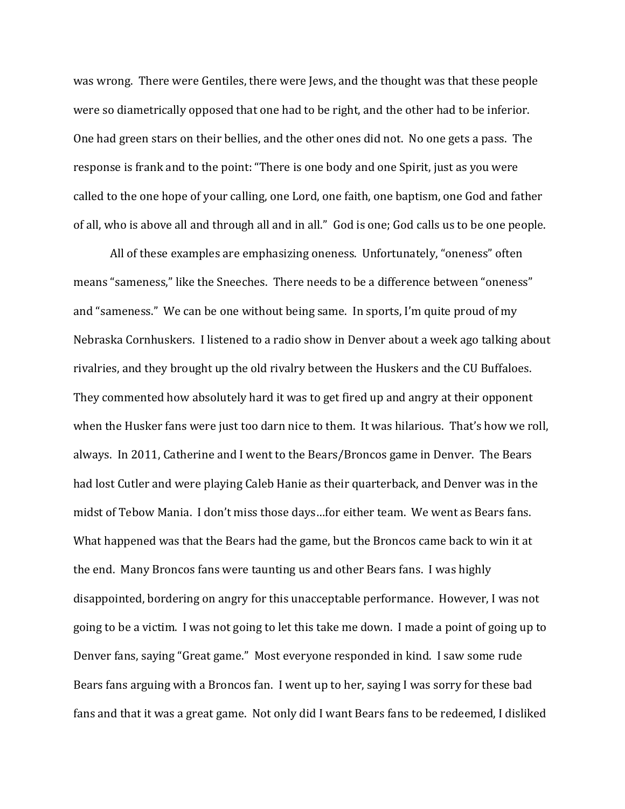was wrong. There were Gentiles, there were Jews, and the thought was that these people were so diametrically opposed that one had to be right, and the other had to be inferior. One had green stars on their bellies, and the other ones did not. No one gets a pass. The response is frank and to the point: "There is one body and one Spirit, just as you were called to the one hope of your calling, one Lord, one faith, one baptism, one God and father of all, who is above all and through all and in all." God is one; God calls us to be one people.

All of these examples are emphasizing oneness. Unfortunately, "oneness" often means "sameness," like the Sneeches. There needs to be a difference between "oneness" and "sameness." We can be one without being same. In sports, I'm quite proud of my Nebraska Cornhuskers. I listened to a radio show in Denver about a week ago talking about rivalries, and they brought up the old rivalry between the Huskers and the CU Buffaloes. They commented how absolutely hard it was to get fired up and angry at their opponent when the Husker fans were just too darn nice to them. It was hilarious. That's how we roll, always. In 2011, Catherine and I went to the Bears/Broncos game in Denver. The Bears had lost Cutler and were playing Caleb Hanie as their quarterback, and Denver was in the midst of Tebow Mania. I don't miss those days…for either team. We went as Bears fans. What happened was that the Bears had the game, but the Broncos came back to win it at the end. Many Broncos fans were taunting us and other Bears fans. I was highly disappointed, bordering on angry for this unacceptable performance. However, I was not going to be a victim. I was not going to let this take me down. I made a point of going up to Denver fans, saying "Great game." Most everyone responded in kind. I saw some rude Bears fans arguing with a Broncos fan. I went up to her, saying I was sorry for these bad fans and that it was a great game. Not only did I want Bears fans to be redeemed, I disliked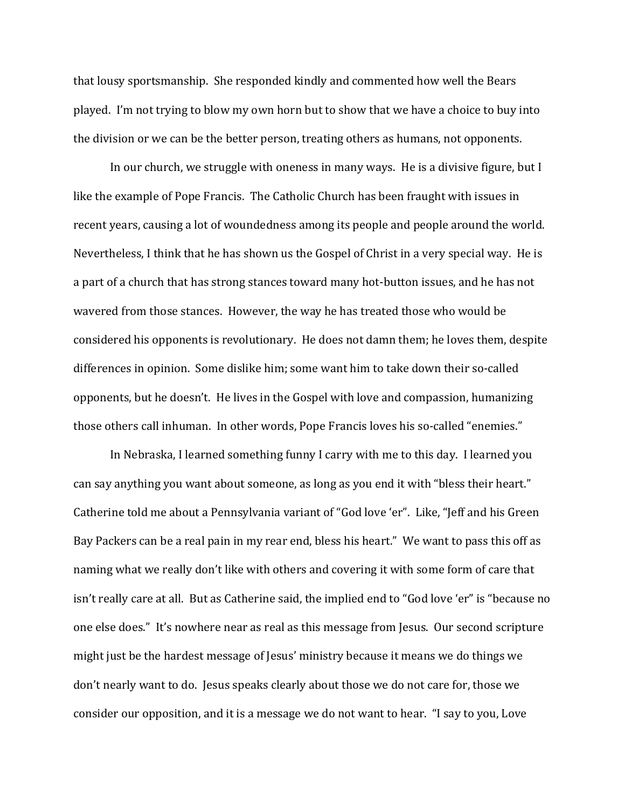that lousy sportsmanship. She responded kindly and commented how well the Bears played. I'm not trying to blow my own horn but to show that we have a choice to buy into the division or we can be the better person, treating others as humans, not opponents.

In our church, we struggle with oneness in many ways. He is a divisive figure, but I like the example of Pope Francis. The Catholic Church has been fraught with issues in recent years, causing a lot of woundedness among its people and people around the world. Nevertheless, I think that he has shown us the Gospel of Christ in a very special way. He is a part of a church that has strong stances toward many hot-button issues, and he has not wavered from those stances. However, the way he has treated those who would be considered his opponents is revolutionary. He does not damn them; he loves them, despite differences in opinion. Some dislike him; some want him to take down their so-called opponents, but he doesn't. He lives in the Gospel with love and compassion, humanizing those others call inhuman. In other words, Pope Francis loves his so-called "enemies."

 In Nebraska, I learned something funny I carry with me to this day. I learned you can say anything you want about someone, as long as you end it with "bless their heart." Catherine told me about a Pennsylvania variant of "God love 'er". Like, "Jeff and his Green Bay Packers can be a real pain in my rear end, bless his heart." We want to pass this off as naming what we really don't like with others and covering it with some form of care that isn't really care at all. But as Catherine said, the implied end to "God love 'er" is "because no one else does." It's nowhere near as real as this message from Jesus. Our second scripture might just be the hardest message of Jesus' ministry because it means we do things we don't nearly want to do. Jesus speaks clearly about those we do not care for, those we consider our opposition, and it is a message we do not want to hear. "I say to you, Love